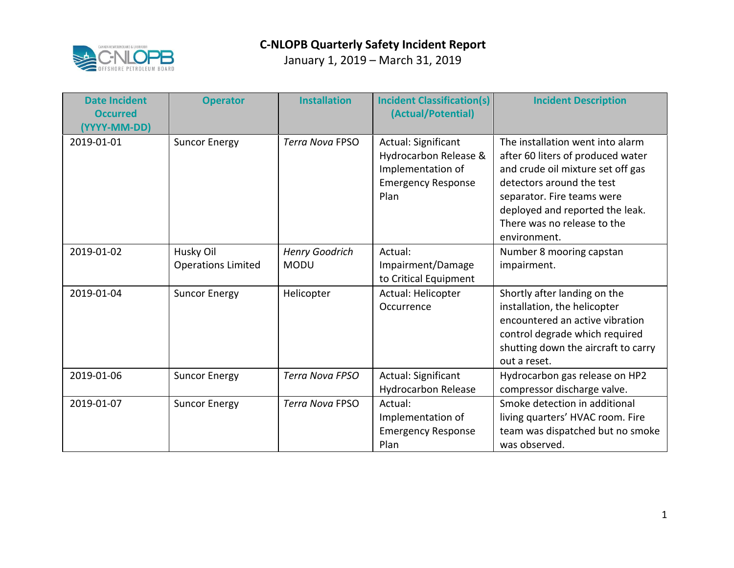

| <b>Date Incident</b><br><b>Occurred</b><br>(YYYY-MM-DD) | <b>Operator</b>                        | <b>Installation</b>                  | <b>Incident Classification(s)</b><br>(Actual/Potential)                                                | <b>Incident Description</b>                                                                                                                                                                                                                             |
|---------------------------------------------------------|----------------------------------------|--------------------------------------|--------------------------------------------------------------------------------------------------------|---------------------------------------------------------------------------------------------------------------------------------------------------------------------------------------------------------------------------------------------------------|
| 2019-01-01                                              | <b>Suncor Energy</b>                   | <b>Terra Nova FPSO</b>               | Actual: Significant<br>Hydrocarbon Release &<br>Implementation of<br><b>Emergency Response</b><br>Plan | The installation went into alarm<br>after 60 liters of produced water<br>and crude oil mixture set off gas<br>detectors around the test<br>separator. Fire teams were<br>deployed and reported the leak.<br>There was no release to the<br>environment. |
| 2019-01-02                                              | Husky Oil<br><b>Operations Limited</b> | <b>Henry Goodrich</b><br><b>MODU</b> | Actual:<br>Impairment/Damage<br>to Critical Equipment                                                  | Number 8 mooring capstan<br>impairment.                                                                                                                                                                                                                 |
| 2019-01-04                                              | <b>Suncor Energy</b>                   | Helicopter                           | Actual: Helicopter<br>Occurrence                                                                       | Shortly after landing on the<br>installation, the helicopter<br>encountered an active vibration<br>control degrade which required<br>shutting down the aircraft to carry<br>out a reset.                                                                |
| 2019-01-06                                              | <b>Suncor Energy</b>                   | <b>Terra Nova FPSO</b>               | Actual: Significant<br><b>Hydrocarbon Release</b>                                                      | Hydrocarbon gas release on HP2<br>compressor discharge valve.                                                                                                                                                                                           |
| 2019-01-07                                              | <b>Suncor Energy</b>                   | <b>Terra Nova FPSO</b>               | Actual:<br>Implementation of<br><b>Emergency Response</b><br>Plan                                      | Smoke detection in additional<br>living quarters' HVAC room. Fire<br>team was dispatched but no smoke<br>was observed.                                                                                                                                  |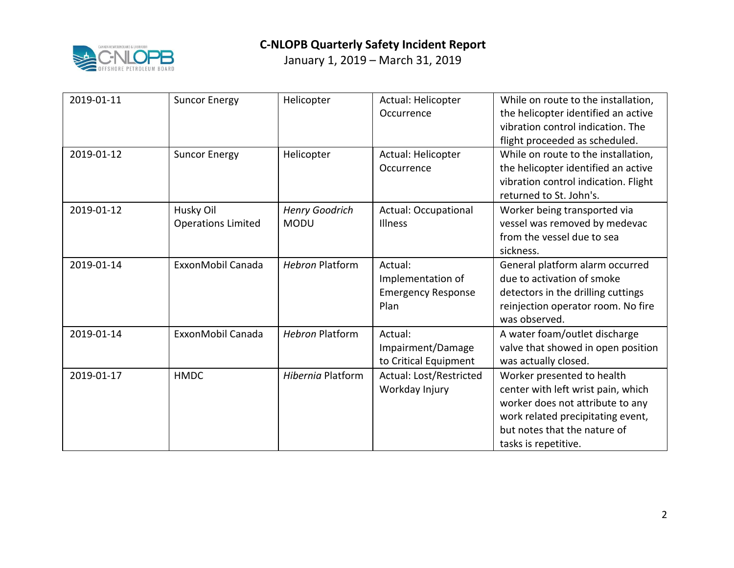

| 2019-01-11 | <b>Suncor Energy</b>                   | Helicopter                           | Actual: Helicopter<br>Occurrence                                  | While on route to the installation,<br>the helicopter identified an active<br>vibration control indication. The<br>flight proceeded as scheduled.                                                 |
|------------|----------------------------------------|--------------------------------------|-------------------------------------------------------------------|---------------------------------------------------------------------------------------------------------------------------------------------------------------------------------------------------|
| 2019-01-12 | <b>Suncor Energy</b>                   | Helicopter                           | Actual: Helicopter<br>Occurrence                                  | While on route to the installation,<br>the helicopter identified an active<br>vibration control indication. Flight<br>returned to St. John's.                                                     |
| 2019-01-12 | Husky Oil<br><b>Operations Limited</b> | <b>Henry Goodrich</b><br><b>MODU</b> | <b>Actual: Occupational</b><br><b>Illness</b>                     | Worker being transported via<br>vessel was removed by medevac<br>from the vessel due to sea<br>sickness.                                                                                          |
| 2019-01-14 | ExxonMobil Canada                      | <b>Hebron Platform</b>               | Actual:<br>Implementation of<br><b>Emergency Response</b><br>Plan | General platform alarm occurred<br>due to activation of smoke<br>detectors in the drilling cuttings<br>reinjection operator room. No fire<br>was observed.                                        |
| 2019-01-14 | ExxonMobil Canada                      | <b>Hebron Platform</b>               | Actual:<br>Impairment/Damage<br>to Critical Equipment             | A water foam/outlet discharge<br>valve that showed in open position<br>was actually closed.                                                                                                       |
| 2019-01-17 | <b>HMDC</b>                            | <b>Hibernia Platform</b>             | Actual: Lost/Restricted<br>Workday Injury                         | Worker presented to health<br>center with left wrist pain, which<br>worker does not attribute to any<br>work related precipitating event,<br>but notes that the nature of<br>tasks is repetitive. |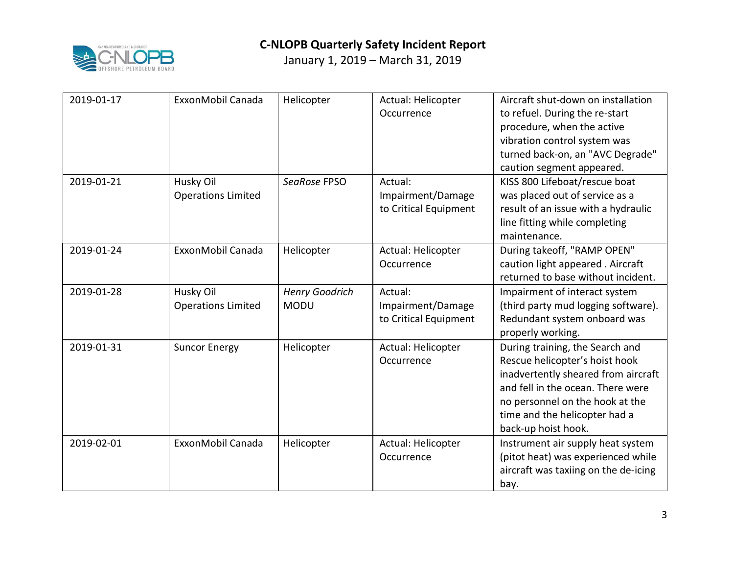

| 2019-01-17 | ExxonMobil Canada                      | Helicopter                    | Actual: Helicopter<br>Occurrence                      | Aircraft shut-down on installation<br>to refuel. During the re-start<br>procedure, when the active<br>vibration control system was<br>turned back-on, an "AVC Degrade"<br>caution segment appeared.                                      |
|------------|----------------------------------------|-------------------------------|-------------------------------------------------------|------------------------------------------------------------------------------------------------------------------------------------------------------------------------------------------------------------------------------------------|
| 2019-01-21 | Husky Oil<br><b>Operations Limited</b> | SeaRose FPSO                  | Actual:<br>Impairment/Damage<br>to Critical Equipment | KISS 800 Lifeboat/rescue boat<br>was placed out of service as a<br>result of an issue with a hydraulic<br>line fitting while completing<br>maintenance.                                                                                  |
| 2019-01-24 | ExxonMobil Canada                      | Helicopter                    | Actual: Helicopter<br>Occurrence                      | During takeoff, "RAMP OPEN"<br>caution light appeared . Aircraft<br>returned to base without incident.                                                                                                                                   |
| 2019-01-28 | Husky Oil<br><b>Operations Limited</b> | Henry Goodrich<br><b>MODU</b> | Actual:<br>Impairment/Damage<br>to Critical Equipment | Impairment of interact system<br>(third party mud logging software).<br>Redundant system onboard was<br>properly working.                                                                                                                |
| 2019-01-31 | <b>Suncor Energy</b>                   | Helicopter                    | Actual: Helicopter<br>Occurrence                      | During training, the Search and<br>Rescue helicopter's hoist hook<br>inadvertently sheared from aircraft<br>and fell in the ocean. There were<br>no personnel on the hook at the<br>time and the helicopter had a<br>back-up hoist hook. |
| 2019-02-01 | ExxonMobil Canada                      | Helicopter                    | Actual: Helicopter<br>Occurrence                      | Instrument air supply heat system<br>(pitot heat) was experienced while<br>aircraft was taxiing on the de-icing<br>bay.                                                                                                                  |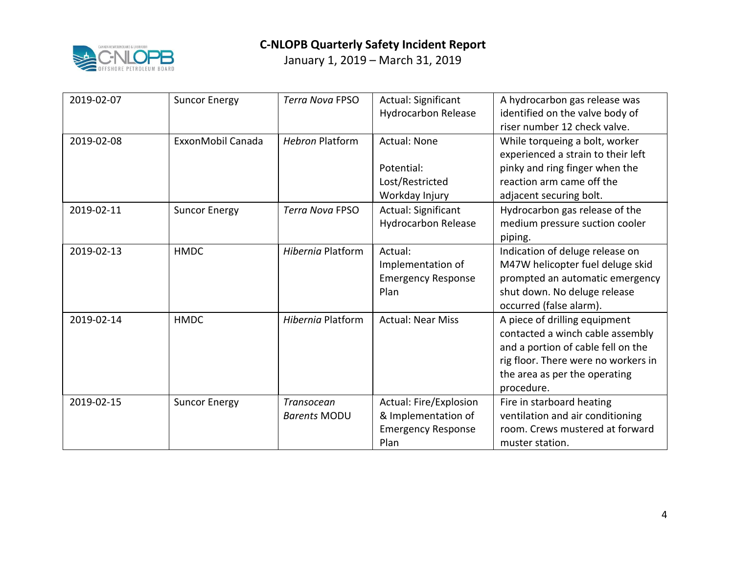

| 2019-02-07 | <b>Suncor Energy</b> | <b>Terra Nova FPSO</b>            | Actual: Significant<br><b>Hydrocarbon Release</b>                                  | A hydrocarbon gas release was<br>identified on the valve body of<br>riser number 12 check valve.                                                                                              |
|------------|----------------------|-----------------------------------|------------------------------------------------------------------------------------|-----------------------------------------------------------------------------------------------------------------------------------------------------------------------------------------------|
| 2019-02-08 | ExxonMobil Canada    | <b>Hebron Platform</b>            | <b>Actual: None</b><br>Potential:<br>Lost/Restricted<br>Workday Injury             | While torqueing a bolt, worker<br>experienced a strain to their left<br>pinky and ring finger when the<br>reaction arm came off the<br>adjacent securing bolt.                                |
| 2019-02-11 | <b>Suncor Energy</b> | <b>Terra Nova FPSO</b>            | Actual: Significant<br><b>Hydrocarbon Release</b>                                  | Hydrocarbon gas release of the<br>medium pressure suction cooler<br>piping.                                                                                                                   |
| 2019-02-13 | <b>HMDC</b>          | <b>Hibernia Platform</b>          | Actual:<br>Implementation of<br><b>Emergency Response</b><br>Plan                  | Indication of deluge release on<br>M47W helicopter fuel deluge skid<br>prompted an automatic emergency<br>shut down. No deluge release<br>occurred (false alarm).                             |
| 2019-02-14 | <b>HMDC</b>          | Hibernia Platform                 | <b>Actual: Near Miss</b>                                                           | A piece of drilling equipment<br>contacted a winch cable assembly<br>and a portion of cable fell on the<br>rig floor. There were no workers in<br>the area as per the operating<br>procedure. |
| 2019-02-15 | <b>Suncor Energy</b> | Transocean<br><b>Barents MODU</b> | Actual: Fire/Explosion<br>& Implementation of<br><b>Emergency Response</b><br>Plan | Fire in starboard heating<br>ventilation and air conditioning<br>room. Crews mustered at forward<br>muster station.                                                                           |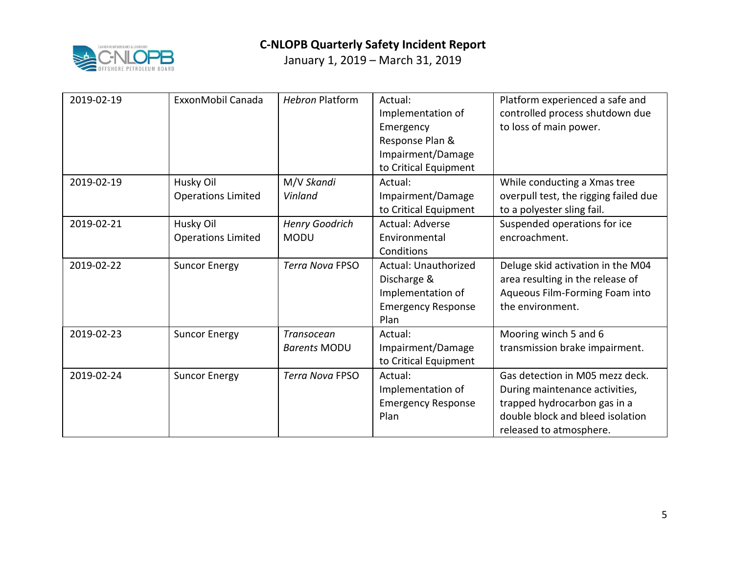

| 2019-02-19 | ExxonMobil Canada                      | <b>Hebron Platform</b>                   | Actual:<br>Implementation of<br>Emergency<br>Response Plan &<br>Impairment/Damage<br>to Critical Equipment | Platform experienced a safe and<br>controlled process shutdown due<br>to loss of main power.                                                                     |
|------------|----------------------------------------|------------------------------------------|------------------------------------------------------------------------------------------------------------|------------------------------------------------------------------------------------------------------------------------------------------------------------------|
| 2019-02-19 | Husky Oil<br><b>Operations Limited</b> | M/V Skandi<br>Vinland                    | Actual:<br>Impairment/Damage<br>to Critical Equipment                                                      | While conducting a Xmas tree<br>overpull test, the rigging failed due<br>to a polyester sling fail.                                                              |
| 2019-02-21 | Husky Oil<br><b>Operations Limited</b> | Henry Goodrich<br><b>MODU</b>            | Actual: Adverse<br>Environmental<br>Conditions                                                             | Suspended operations for ice<br>encroachment.                                                                                                                    |
| 2019-02-22 | <b>Suncor Energy</b>                   | <b>Terra Nova FPSO</b>                   | <b>Actual: Unauthorized</b><br>Discharge &<br>Implementation of<br><b>Emergency Response</b><br>Plan       | Deluge skid activation in the M04<br>area resulting in the release of<br>Aqueous Film-Forming Foam into<br>the environment.                                      |
| 2019-02-23 | <b>Suncor Energy</b>                   | <b>Transocean</b><br><b>Barents MODU</b> | Actual:<br>Impairment/Damage<br>to Critical Equipment                                                      | Mooring winch 5 and 6<br>transmission brake impairment.                                                                                                          |
| 2019-02-24 | <b>Suncor Energy</b>                   | <b>Terra Nova FPSO</b>                   | Actual:<br>Implementation of<br><b>Emergency Response</b><br>Plan                                          | Gas detection in M05 mezz deck.<br>During maintenance activities,<br>trapped hydrocarbon gas in a<br>double block and bleed isolation<br>released to atmosphere. |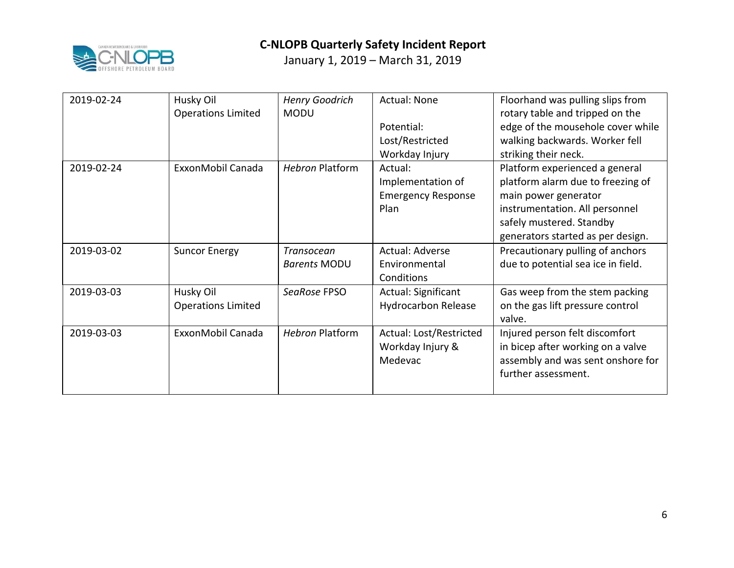

| 2019-02-24 | Husky Oil                 | <b>Henry Goodrich</b>  | <b>Actual: None</b>        | Floorhand was pulling slips from   |
|------------|---------------------------|------------------------|----------------------------|------------------------------------|
|            | <b>Operations Limited</b> | <b>MODU</b>            |                            | rotary table and tripped on the    |
|            |                           |                        | Potential:                 | edge of the mousehole cover while  |
|            |                           |                        | Lost/Restricted            | walking backwards. Worker fell     |
|            |                           |                        | Workday Injury             | striking their neck.               |
| 2019-02-24 | ExxonMobil Canada         | <b>Hebron Platform</b> | Actual:                    | Platform experienced a general     |
|            |                           |                        | Implementation of          | platform alarm due to freezing of  |
|            |                           |                        | <b>Emergency Response</b>  | main power generator               |
|            |                           |                        | Plan                       | instrumentation. All personnel     |
|            |                           |                        |                            | safely mustered. Standby           |
|            |                           |                        |                            | generators started as per design.  |
|            |                           |                        |                            |                                    |
| 2019-03-02 | <b>Suncor Energy</b>      | Transocean             | Actual: Adverse            | Precautionary pulling of anchors   |
|            |                           | <b>Barents MODU</b>    | Environmental              | due to potential sea ice in field. |
|            |                           |                        | Conditions                 |                                    |
| 2019-03-03 | Husky Oil                 | SeaRose FPSO           | Actual: Significant        | Gas weep from the stem packing     |
|            | <b>Operations Limited</b> |                        | <b>Hydrocarbon Release</b> | on the gas lift pressure control   |
|            |                           |                        |                            | valve.                             |
| 2019-03-03 | ExxonMobil Canada         | <b>Hebron Platform</b> | Actual: Lost/Restricted    | Injured person felt discomfort     |
|            |                           |                        | Workday Injury &           | in bicep after working on a valve  |
|            |                           |                        | Medevac                    | assembly and was sent onshore for  |
|            |                           |                        |                            | further assessment.                |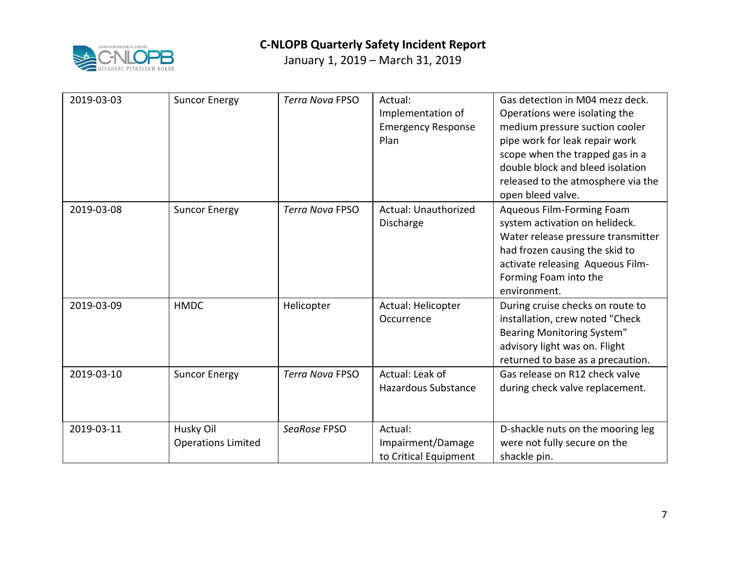

| 2019-03-03 | <b>Suncor Energy</b>                   | <b>Terra Nova FPSO</b> | Actual:<br>Implementation of<br><b>Emergency Response</b><br>Plan | Gas detection in M04 mezz deck.<br>Operations were isolating the<br>medium pressure suction cooler<br>pipe work for leak repair work<br>scope when the trapped gas in a<br>double block and bleed isolation<br>released to the atmosphere via the<br>open bleed valve. |
|------------|----------------------------------------|------------------------|-------------------------------------------------------------------|------------------------------------------------------------------------------------------------------------------------------------------------------------------------------------------------------------------------------------------------------------------------|
| 2019-03-08 | <b>Suncor Energy</b>                   | <b>Terra Nova FPSO</b> | Actual: Unauthorized<br>Discharge                                 | Aqueous Film-Forming Foam<br>system activation on helideck.<br>Water release pressure transmitter<br>had frozen causing the skid to<br>activate releasing Aqueous Film-<br>Forming Foam into the<br>environment.                                                       |
| 2019-03-09 | <b>HMDC</b>                            | Helicopter             | Actual: Helicopter<br>Occurrence                                  | During cruise checks on route to<br>installation, crew noted "Check<br><b>Bearing Monitoring System"</b><br>advisory light was on. Flight<br>returned to base as a precaution.                                                                                         |
| 2019-03-10 | <b>Suncor Energy</b>                   | <b>Terra Nova FPSO</b> | Actual: Leak of<br><b>Hazardous Substance</b>                     | Gas release on R12 check valve<br>during check valve replacement.                                                                                                                                                                                                      |
| 2019-03-11 | Husky Oil<br><b>Operations Limited</b> | SeaRose FPSO           | Actual:<br>Impairment/Damage<br>to Critical Equipment             | D-shackle nuts on the mooring leg<br>were not fully secure on the<br>shackle pin.                                                                                                                                                                                      |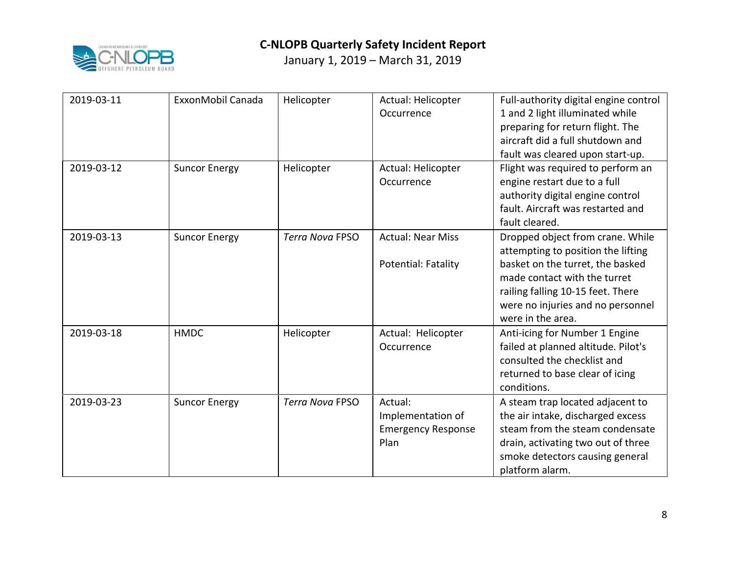

| 2019-03-11 | ExxonMobil Canada    | Helicopter             | Actual: Helicopter<br>Occurrence                                  | Full-authority digital engine control<br>1 and 2 light illuminated while<br>preparing for return flight. The<br>aircraft did a full shutdown and<br>fault was cleared upon start-up.                                                      |
|------------|----------------------|------------------------|-------------------------------------------------------------------|-------------------------------------------------------------------------------------------------------------------------------------------------------------------------------------------------------------------------------------------|
| 2019-03-12 | <b>Suncor Energy</b> | Helicopter             | Actual: Helicopter<br>Occurrence                                  | Flight was required to perform an<br>engine restart due to a full<br>authority digital engine control<br>fault. Aircraft was restarted and<br>fault cleared.                                                                              |
| 2019-03-13 | <b>Suncor Energy</b> | <b>Terra Nova FPSO</b> | <b>Actual: Near Miss</b><br>Potential: Fatality                   | Dropped object from crane. While<br>attempting to position the lifting<br>basket on the turret, the basked<br>made contact with the turret<br>railing falling 10-15 feet. There<br>were no injuries and no personnel<br>were in the area. |
| 2019-03-18 | <b>HMDC</b>          | Helicopter             | Actual: Helicopter<br>Occurrence                                  | Anti-icing for Number 1 Engine<br>failed at planned altitude. Pilot's<br>consulted the checklist and<br>returned to base clear of icing<br>conditions.                                                                                    |
| 2019-03-23 | <b>Suncor Energy</b> | <b>Terra Nova FPSO</b> | Actual:<br>Implementation of<br><b>Emergency Response</b><br>Plan | A steam trap located adjacent to<br>the air intake, discharged excess<br>steam from the steam condensate<br>drain, activating two out of three<br>smoke detectors causing general<br>platform alarm.                                      |